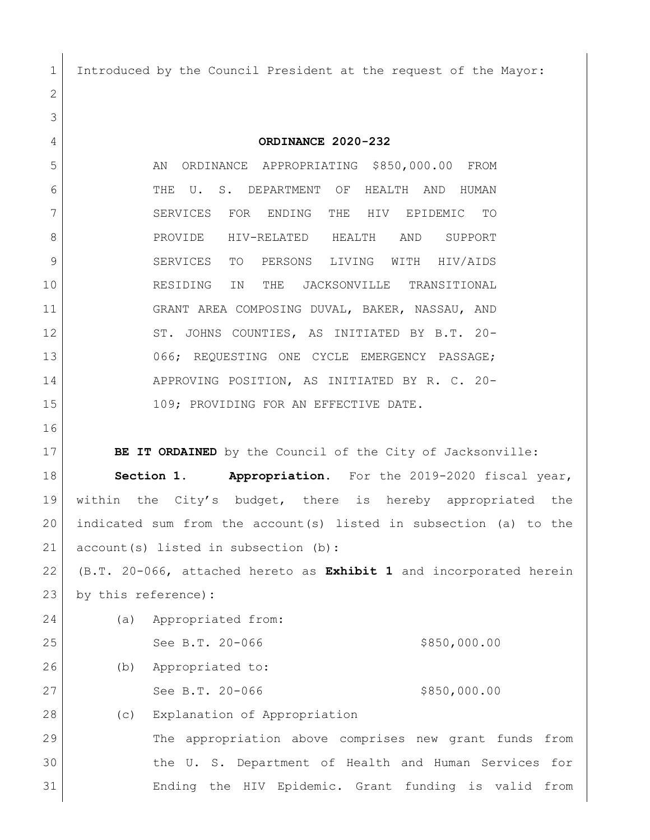Introduced by the Council President at the request of the Mayor:

 **ORDINANCE 2020-232** 5 AN ORDINANCE APPROPRIATING \$850,000.00 FROM THE U. S. DEPARTMENT OF HEALTH AND HUMAN SERVICES FOR ENDING THE HIV EPIDEMIC TO PROVIDE HIV-RELATED HEALTH AND SUPPORT SERVICES TO PERSONS LIVING WITH HIV/AIDS RESIDING IN THE JACKSONVILLE TRANSITIONAL GRANT AREA COMPOSING DUVAL, BAKER, NASSAU, AND 12 ST. JOHNS COUNTIES, AS INITIATED BY B.T. 20- 066; REQUESTING ONE CYCLE EMERGENCY PASSAGE; APPROVING POSITION, AS INITIATED BY R. C. 20- 15 109; PROVIDING FOR AN EFFECTIVE DATE. **BE IT ORDAINED** by the Council of the City of Jacksonville: **Section 1. Appropriation.** For the 2019-2020 fiscal year, within the City's budget, there is hereby appropriated the indicated sum from the account(s) listed in subsection (a) to the 21 account(s) listed in subsection (b):

 (B.T. 20-066, attached hereto as **Exhibit 1** and incorporated herein by this reference)**:**

| 24 | (a) | Appropriated from:                                     |
|----|-----|--------------------------------------------------------|
| 25 |     | \$850,000.00<br>See B.T. 20-066                        |
| 26 | (b) | Appropriated to:                                       |
| 27 |     | \$850,000.00<br>See B.T. 20-066                        |
| 28 | (C) | Explanation of Appropriation                           |
| 29 |     | The appropriation above comprises new grant funds from |
| 30 |     | the U. S. Department of Health and Human Services for  |

Ending the HIV Epidemic. Grant funding is valid from